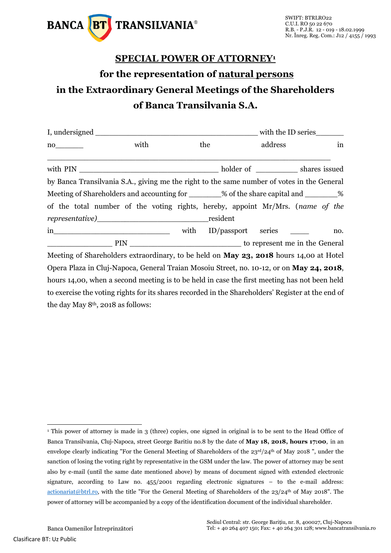

## **SPECIAL POWER OF ATTORNEY<sup>1</sup> for the representation of natural persons in the Extraordinary General Meetings of the Shareholders of Banca Transilvania S.A.**

| $no \qquad \qquad$                                                                                | with |      | the      |  | address            |  | in  |  |
|---------------------------------------------------------------------------------------------------|------|------|----------|--|--------------------|--|-----|--|
|                                                                                                   |      |      |          |  |                    |  |     |  |
| by Banca Transilvania S.A., giving me the right to the same number of votes in the General        |      |      |          |  |                    |  |     |  |
| Meeting of Shareholders and accounting for ________% of the share capital and ________%           |      |      |          |  |                    |  |     |  |
| of the total number of the voting rights, hereby, appoint Mr/Mrs. (name of the                    |      |      |          |  |                    |  |     |  |
|                                                                                                   |      |      | resident |  |                    |  |     |  |
| $\overline{\text{in}}$                                                                            |      | with |          |  | ID/passport series |  | no. |  |
|                                                                                                   |      |      |          |  |                    |  |     |  |
| Meeting of Shareholders extraordinary, to be held on <b>May 23, 2018</b> hours 14,00 at Hotel     |      |      |          |  |                    |  |     |  |
| Opera Plaza in Cluj-Napoca, General Traian Mosoiu Street, no. 10-12, or on May 24, 2018,          |      |      |          |  |                    |  |     |  |
| hours 14,00, when a second meeting is to be held in case the first meeting has not been held      |      |      |          |  |                    |  |     |  |
| to exercise the voting rights for its shares recorded in the Shareholders' Register at the end of |      |      |          |  |                    |  |     |  |
| the day May $8th$ , 2018 as follows:                                                              |      |      |          |  |                    |  |     |  |

<sup>-</sup><sup>1</sup> This power of attorney is made in 3 (three) copies, one signed in original is to be sent to the Head Office of Banca Transilvania, Cluj-Napoca, street George Baritiu no.8 by the date of **May 18, 2018, hours 17:00**, in an envelope clearly indicating "For the General Meeting of Shareholders of the 23<sup>rd</sup>/24<sup>th</sup> of May 2018 ", under the sanction of losing the voting right by representative in the GSM under the law. The power of attorney may be sent also by e-mail (until the same date mentioned above) by means of document signed with extended electronic signature, according to Law no. 455/2001 regarding electronic signatures – to the e-mail address: [actionariat@btrl.ro,](mailto:actionariat@btrl.ro) with the title "For the General Meeting of Shareholders of the 23/24th of May 2018". The power of attorney will be accompanied by a copy of the identification document of the individual shareholder.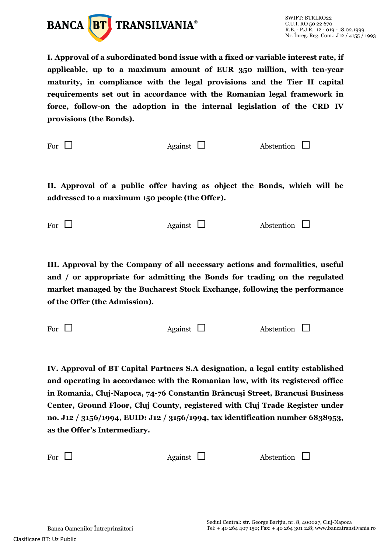

**I. Approval of a subordinated bond issue with a fixed or variable interest rate, if applicable, up to a maximum amount of EUR 350 million, with ten-year maturity, in compliance with the legal provisions and the Tier II capital requirements set out in accordance with the Romanian legal framework in force, follow-on the adoption in the internal legislation of the CRD IV provisions (the Bonds).**

For  $\Box$  Against  $\Box$  Abstention  $\Box$ 

**II. Approval of a public offer having as object the Bonds, which will be addressed to a maximum 150 people (the Offer).**

For  $\Box$  Against  $\Box$  Abstention  $\Box$ 

**III. Approval by the Company of all necessary actions and formalities, useful and / or appropriate for admitting the Bonds for trading on the regulated market managed by the Bucharest Stock Exchange, following the performance of the Offer (the Admission).**

For  $\Box$  Against  $\Box$  Abstention  $\Box$ 

**IV. Approval of BT Capital Partners S.A designation, a legal entity established and operating in accordance with the Romanian law, with its registered office in Romania, Cluj-Napoca, 74-76 Constantin Brâncuşi Street, Brancusi Business Center, Ground Floor, Cluj County, registered with Cluj Trade Register under no. J12 / 3156/1994, EUID: J12 / 3156/1994, tax identification number 6838953, as the Offer's Intermediary.**

For  $\Box$  Against  $\Box$  Abstention  $\Box$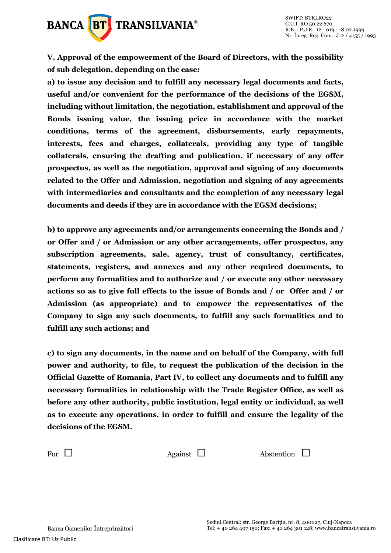

**V. Approval of the empowerment of the Board of Directors, with the possibility of sub delegation, depending on the case:**

**a) to issue any decision and to fulfill any necessary legal documents and facts, useful and/or convenient for the performance of the decisions of the EGSM, including without limitation, the negotiation, establishment and approval of the Bonds issuing value, the issuing price in accordance with the market conditions, terms of the agreement, disbursements, early repayments, interests, fees and charges, collaterals, providing any type of tangible collaterals, ensuring the drafting and publication, if necessary of any offer prospectus, as well as the negotiation, approval and signing of any documents related to the Offer and Admission, negotiation and signing of any agreements with intermediaries and consultants and the completion of any necessary legal documents and deeds if they are in accordance with the EGSM decisions;**

**b) to approve any agreements and/or arrangements concerning the Bonds and / or Offer and / or Admission or any other arrangements, offer prospectus, any subscription agreements, sale, agency, trust of consultancy, certificates, statements, registers, and annexes and any other required documents, to perform any formalities and to authorize and / or execute any other necessary actions so as to give full effects to the issue of Bonds and / or Offer and / or Admission (as appropriate) and to empower the representatives of the Company to sign any such documents, to fulfill any such formalities and to fulfill any such actions; and**

**c) to sign any documents, in the name and on behalf of the Company, with full power and authority, to file, to request the publication of the decision in the Official Gazette of Romania, Part IV, to collect any documents and to fulfill any necessary formalities in relationship with the Trade Register Office, as well as before any other authority, public institution, legal entity or individual, as well as to execute any operations, in order to fulfill and ensure the legality of the decisions of the EGSM.**

For  $\Box$  Against  $\Box$  Abstention  $\Box$